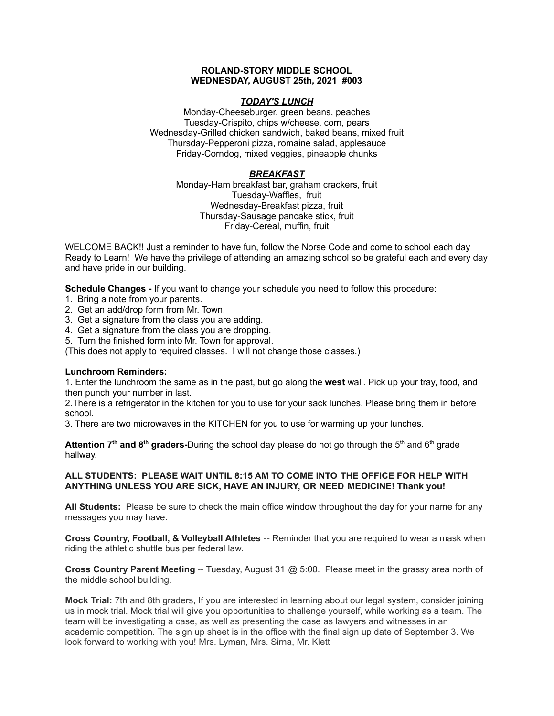### **ROLAND-STORY MIDDLE SCHOOL WEDNESDAY, AUGUST 25th, 2021 #003**

# *TODAY'S LUNCH*

Monday-Cheeseburger, green beans, peaches Tuesday-Crispito, chips w/cheese, corn, pears Wednesday-Grilled chicken sandwich, baked beans, mixed fruit Thursday-Pepperoni pizza, romaine salad, applesauce Friday-Corndog, mixed veggies, pineapple chunks

# *BREAKFAST*

Monday-Ham breakfast bar, graham crackers, fruit Tuesday-Waffles, fruit Wednesday-Breakfast pizza, fruit Thursday-Sausage pancake stick, fruit Friday-Cereal, muffin, fruit

WELCOME BACK!! Just a reminder to have fun, follow the Norse Code and come to school each day Ready to Learn! We have the privilege of attending an amazing school so be grateful each and every day and have pride in our building.

**Schedule Changes -** If you want to change your schedule you need to follow this procedure:

- 1. Bring a note from your parents.
- 2. Get an add/drop form from Mr. Town.
- 3. Get a signature from the class you are adding.
- 4. Get a signature from the class you are dropping.
- 5. Turn the finished form into Mr. Town for approval.

(This does not apply to required classes. I will not change those classes.)

### **Lunchroom Reminders:**

1. Enter the lunchroom the same as in the past, but go along the **west** wall. Pick up your tray, food, and then punch your number in last.

2.There is a refrigerator in the kitchen for you to use for your sack lunches. Please bring them in before school.

3. There are two microwaves in the KITCHEN for you to use for warming up your lunches.

**Attention 7<sup>th</sup> and 8<sup>th</sup> graders-During the school day please do not go through the 5<sup>th</sup> and 6<sup>th</sup> grade** hallway.

# **ALL STUDENTS: PLEASE WAIT UNTIL 8:15 AM TO COME INTO THE OFFICE FOR HELP WITH ANYTHING UNLESS YOU ARE SICK, HAVE AN INJURY, OR NEED MEDICINE! Thank you!**

**All Students:** Please be sure to check the main office window throughout the day for your name for any messages you may have.

**Cross Country, Football, & Volleyball Athletes** -- Reminder that you are required to wear a mask when riding the athletic shuttle bus per federal law.

**Cross Country Parent Meeting** -- Tuesday, August 31 @ 5:00. Please meet in the grassy area north of the middle school building.

**Mock Trial:** 7th and 8th graders, If you are interested in learning about our legal system, consider joining us in mock trial. Mock trial will give you opportunities to challenge yourself, while working as a team. The team will be investigating a case, as well as presenting the case as lawyers and witnesses in an academic competition. The sign up sheet is in the office with the final sign up date of September 3. We look forward to working with you! Mrs. Lyman, Mrs. Sirna, Mr. Klett